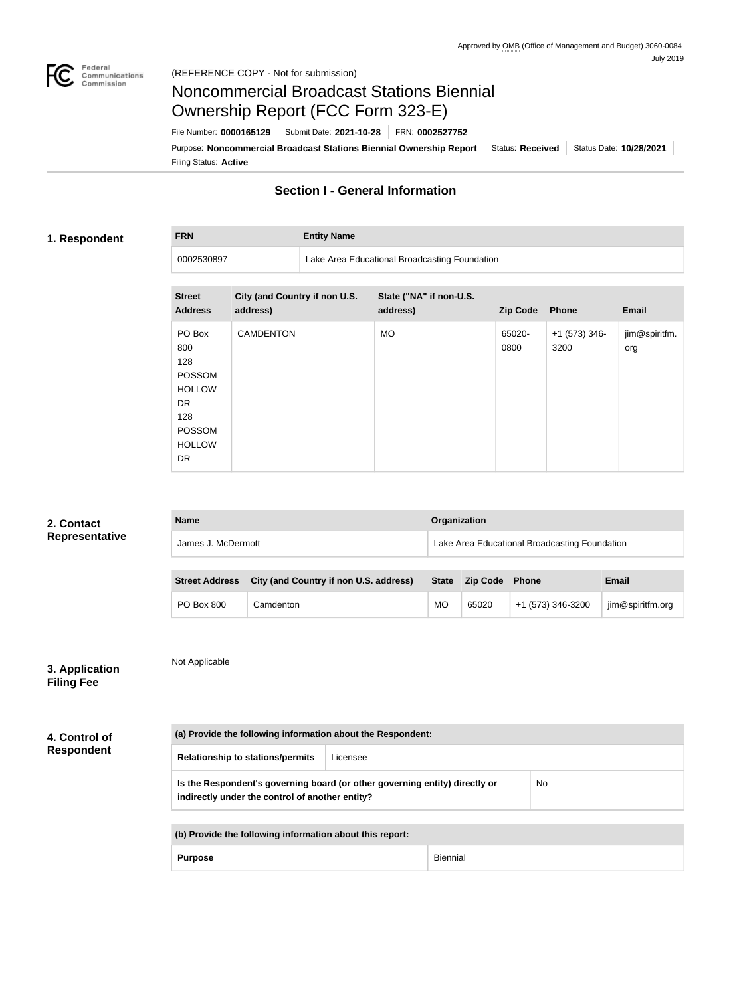

**FRN Entity Name**

# Noncommercial Broadcast Stations Biennial Ownership Report (FCC Form 323-E)

Filing Status: **Active** Purpose: Noncommercial Broadcast Stations Biennial Ownership Report Status: Received Status Date: 10/28/2021 File Number: **0000165129** Submit Date: **2021-10-28** FRN: **0002527752**

### **Section I - General Information**

### **1. Respondent**

0002530897 Lake Area Educational Broadcasting Foundation

| <b>Street</b><br><b>Address</b>                                                                             | City (and Country if non U.S.<br>address) | State ("NA" if non-U.S.<br>address) | <b>Zip Code</b> | Phone                 | <b>Email</b>         |
|-------------------------------------------------------------------------------------------------------------|-------------------------------------------|-------------------------------------|-----------------|-----------------------|----------------------|
| PO Box<br>800<br>128<br>POSSOM<br><b>HOLLOW</b><br><b>DR</b><br>128<br>POSSOM<br><b>HOLLOW</b><br><b>DR</b> | <b>CAMDENTON</b>                          | <b>MO</b>                           | 65020-<br>0800  | +1 (573) 346-<br>3200 | jim@spiritfm.<br>org |

| 2. Contact                          | <b>Name</b>                                                                                                                                 |           | Organization                                             |                                               |                 |                   |                  |
|-------------------------------------|---------------------------------------------------------------------------------------------------------------------------------------------|-----------|----------------------------------------------------------|-----------------------------------------------|-----------------|-------------------|------------------|
| Representative                      | James J. McDermott                                                                                                                          |           |                                                          | Lake Area Educational Broadcasting Foundation |                 |                   |                  |
|                                     |                                                                                                                                             |           |                                                          |                                               |                 |                   |                  |
|                                     | <b>Street Address</b>                                                                                                                       |           | City (and Country if non U.S. address)                   | <b>State</b>                                  | <b>Zip Code</b> | Phone             | <b>Email</b>     |
|                                     | PO Box 800                                                                                                                                  | Camdenton |                                                          | <b>MO</b>                                     | 65020           | +1 (573) 346-3200 | jim@spiritfm.org |
| 3. Application<br><b>Filing Fee</b> | Not Applicable                                                                                                                              |           |                                                          |                                               |                 |                   |                  |
| 4. Control of                       | (a) Provide the following information about the Respondent:                                                                                 |           |                                                          |                                               |                 |                   |                  |
| <b>Respondent</b>                   | <b>Relationship to stations/permits</b><br>Licensee                                                                                         |           |                                                          |                                               |                 |                   |                  |
|                                     | Is the Respondent's governing board (or other governing entity) directly or<br><b>No</b><br>indirectly under the control of another entity? |           |                                                          |                                               |                 |                   |                  |
|                                     |                                                                                                                                             |           |                                                          |                                               |                 |                   |                  |
|                                     |                                                                                                                                             |           | (b) Provide the following information about this report: |                                               |                 |                   |                  |
| <b>Purpose</b>                      |                                                                                                                                             |           |                                                          | <b>Biennial</b>                               |                 |                   |                  |
|                                     |                                                                                                                                             |           |                                                          |                                               |                 |                   |                  |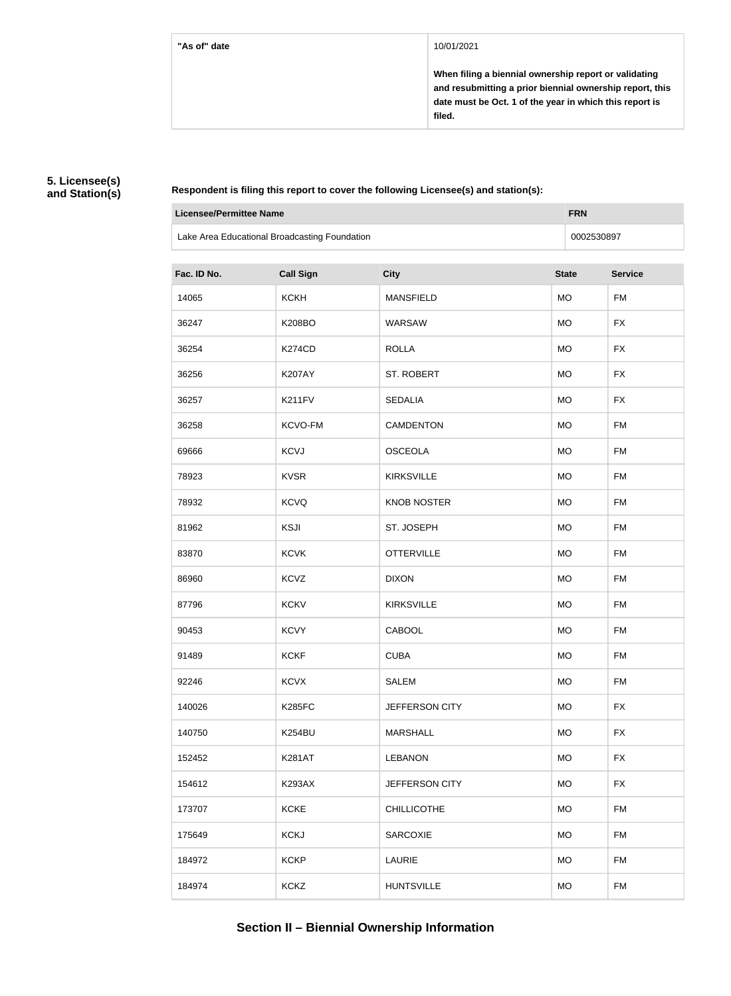**When filing a biennial ownership report or validating and resubmitting a prior biennial ownership report, this date must be Oct. 1 of the year in which this report is filed.**

### **5. Licensee(s) and Station(s)**

**Respondent is filing this report to cover the following Licensee(s) and station(s):**

| <b>Licensee/Permittee Name</b><br><b>FRN</b>  |                  |                    |              |                |
|-----------------------------------------------|------------------|--------------------|--------------|----------------|
| Lake Area Educational Broadcasting Foundation | 0002530897       |                    |              |                |
| Fac. ID No.                                   | <b>Call Sign</b> | <b>City</b>        | <b>State</b> | <b>Service</b> |
| 14065                                         | <b>KCKH</b>      | <b>MANSFIELD</b>   | <b>MO</b>    | <b>FM</b>      |
| 36247                                         | <b>K208BO</b>    | WARSAW             | <b>MO</b>    | <b>FX</b>      |
| 36254                                         | <b>K274CD</b>    | <b>ROLLA</b>       | <b>MO</b>    | <b>FX</b>      |
| 36256                                         | <b>K207AY</b>    | <b>ST. ROBERT</b>  | <b>MO</b>    | <b>FX</b>      |
| 36257                                         | K211FV           | <b>SEDALIA</b>     | <b>MO</b>    | <b>FX</b>      |
| 36258                                         | KCVO-FM          | <b>CAMDENTON</b>   | <b>MO</b>    | <b>FM</b>      |
| 69666                                         | <b>KCVJ</b>      | <b>OSCEOLA</b>     | <b>MO</b>    | <b>FM</b>      |
| 78923                                         | <b>KVSR</b>      | <b>KIRKSVILLE</b>  | <b>MO</b>    | <b>FM</b>      |
| 78932                                         | <b>KCVQ</b>      | <b>KNOB NOSTER</b> | <b>MO</b>    | <b>FM</b>      |
| 81962                                         | <b>KSJI</b>      | ST. JOSEPH         | <b>MO</b>    | <b>FM</b>      |
| 83870                                         | <b>KCVK</b>      | <b>OTTERVILLE</b>  | <b>MO</b>    | <b>FM</b>      |
| 86960                                         | <b>KCVZ</b>      | <b>DIXON</b>       | <b>MO</b>    | <b>FM</b>      |
| 87796                                         | <b>KCKV</b>      | <b>KIRKSVILLE</b>  | <b>MO</b>    | <b>FM</b>      |
| 90453                                         | <b>KCVY</b>      | CABOOL             | <b>MO</b>    | <b>FM</b>      |
| 91489                                         | <b>KCKF</b>      | <b>CUBA</b>        | <b>MO</b>    | <b>FM</b>      |
| 92246                                         | <b>KCVX</b>      | <b>SALEM</b>       | <b>MO</b>    | <b>FM</b>      |
| 140026                                        | <b>K285FC</b>    | JEFFERSON CITY     | <b>MO</b>    | <b>FX</b>      |
| 140750                                        | <b>K254BU</b>    | <b>MARSHALL</b>    | <b>MO</b>    | <b>FX</b>      |
| 152452                                        | <b>K281AT</b>    | <b>LEBANON</b>     | <b>MO</b>    | <b>FX</b>      |
| 154612                                        | <b>K293AX</b>    | JEFFERSON CITY     | <b>MO</b>    | <b>FX</b>      |
| 173707                                        | <b>KCKE</b>      | <b>CHILLICOTHE</b> | <b>MO</b>    | <b>FM</b>      |
| 175649                                        | <b>KCKJ</b>      | <b>SARCOXIE</b>    | <b>MO</b>    | <b>FM</b>      |
| 184972                                        | <b>KCKP</b>      | LAURIE             | <b>MO</b>    | <b>FM</b>      |
| 184974                                        | <b>KCKZ</b>      | <b>HUNTSVILLE</b>  | <b>MO</b>    | <b>FM</b>      |

# **Section II – Biennial Ownership Information**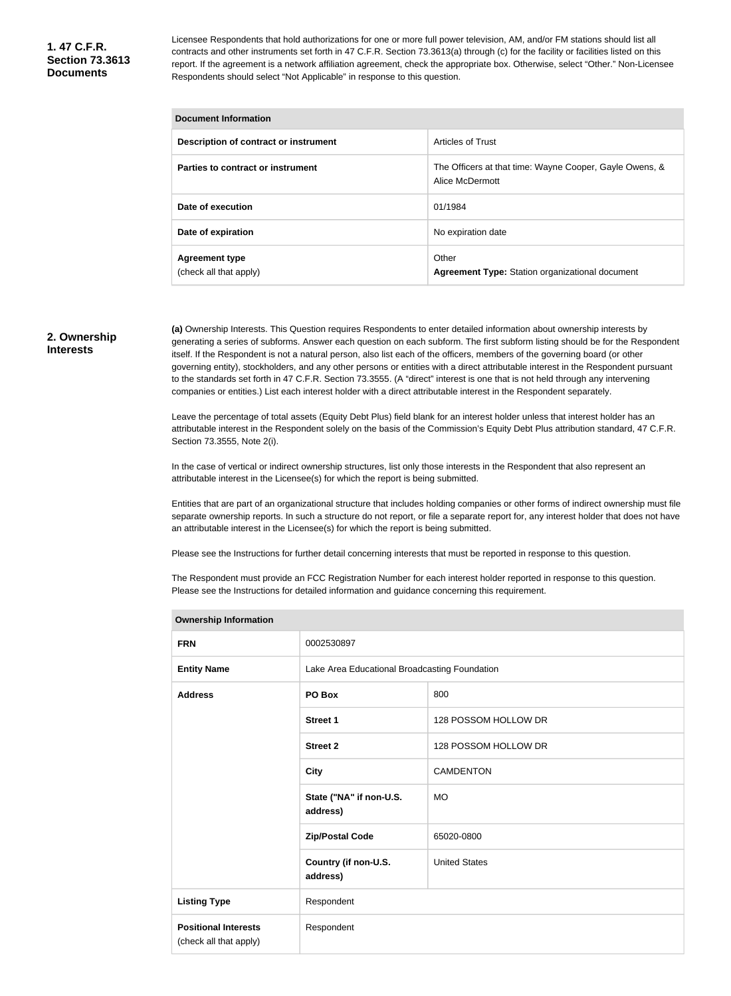Licensee Respondents that hold authorizations for one or more full power television, AM, and/or FM stations should list all contracts and other instruments set forth in 47 C.F.R. Section 73.3613(a) through (c) for the facility or facilities listed on this report. If the agreement is a network affiliation agreement, check the appropriate box. Otherwise, select "Other." Non-Licensee Respondents should select "Not Applicable" in response to this question.

| <b>Document Information</b>                     |                                                                            |  |  |  |  |
|-------------------------------------------------|----------------------------------------------------------------------------|--|--|--|--|
| Description of contract or instrument           | <b>Articles of Trust</b>                                                   |  |  |  |  |
| Parties to contract or instrument               | The Officers at that time: Wayne Cooper, Gayle Owens, &<br>Alice McDermott |  |  |  |  |
| Date of execution                               | 01/1984                                                                    |  |  |  |  |
| Date of expiration                              | No expiration date                                                         |  |  |  |  |
| <b>Agreement type</b><br>(check all that apply) | Other<br><b>Agreement Type:</b> Station organizational document            |  |  |  |  |

### **2. Ownership Interests**

**(a)** Ownership Interests. This Question requires Respondents to enter detailed information about ownership interests by generating a series of subforms. Answer each question on each subform. The first subform listing should be for the Respondent itself. If the Respondent is not a natural person, also list each of the officers, members of the governing board (or other governing entity), stockholders, and any other persons or entities with a direct attributable interest in the Respondent pursuant to the standards set forth in 47 C.F.R. Section 73.3555. (A "direct" interest is one that is not held through any intervening companies or entities.) List each interest holder with a direct attributable interest in the Respondent separately.

Leave the percentage of total assets (Equity Debt Plus) field blank for an interest holder unless that interest holder has an attributable interest in the Respondent solely on the basis of the Commission's Equity Debt Plus attribution standard, 47 C.F.R. Section 73.3555, Note 2(i).

In the case of vertical or indirect ownership structures, list only those interests in the Respondent that also represent an attributable interest in the Licensee(s) for which the report is being submitted.

Entities that are part of an organizational structure that includes holding companies or other forms of indirect ownership must file separate ownership reports. In such a structure do not report, or file a separate report for, any interest holder that does not have an attributable interest in the Licensee(s) for which the report is being submitted.

Please see the Instructions for further detail concerning interests that must be reported in response to this question.

The Respondent must provide an FCC Registration Number for each interest holder reported in response to this question. Please see the Instructions for detailed information and guidance concerning this requirement.

| <b>Ownership Information</b>                          |                                               |                      |  |  |
|-------------------------------------------------------|-----------------------------------------------|----------------------|--|--|
| <b>FRN</b>                                            | 0002530897                                    |                      |  |  |
| <b>Entity Name</b>                                    | Lake Area Educational Broadcasting Foundation |                      |  |  |
| <b>Address</b>                                        | PO Box                                        | 800                  |  |  |
|                                                       | <b>Street 1</b>                               | 128 POSSOM HOLLOW DR |  |  |
|                                                       | <b>Street 2</b>                               | 128 POSSOM HOLLOW DR |  |  |
|                                                       | <b>City</b>                                   | <b>CAMDENTON</b>     |  |  |
|                                                       | State ("NA" if non-U.S.<br>address)           | <b>MO</b>            |  |  |
|                                                       | <b>Zip/Postal Code</b>                        | 65020-0800           |  |  |
|                                                       | Country (if non-U.S.<br>address)              | <b>United States</b> |  |  |
| <b>Listing Type</b>                                   | Respondent                                    |                      |  |  |
| <b>Positional Interests</b><br>(check all that apply) | Respondent                                    |                      |  |  |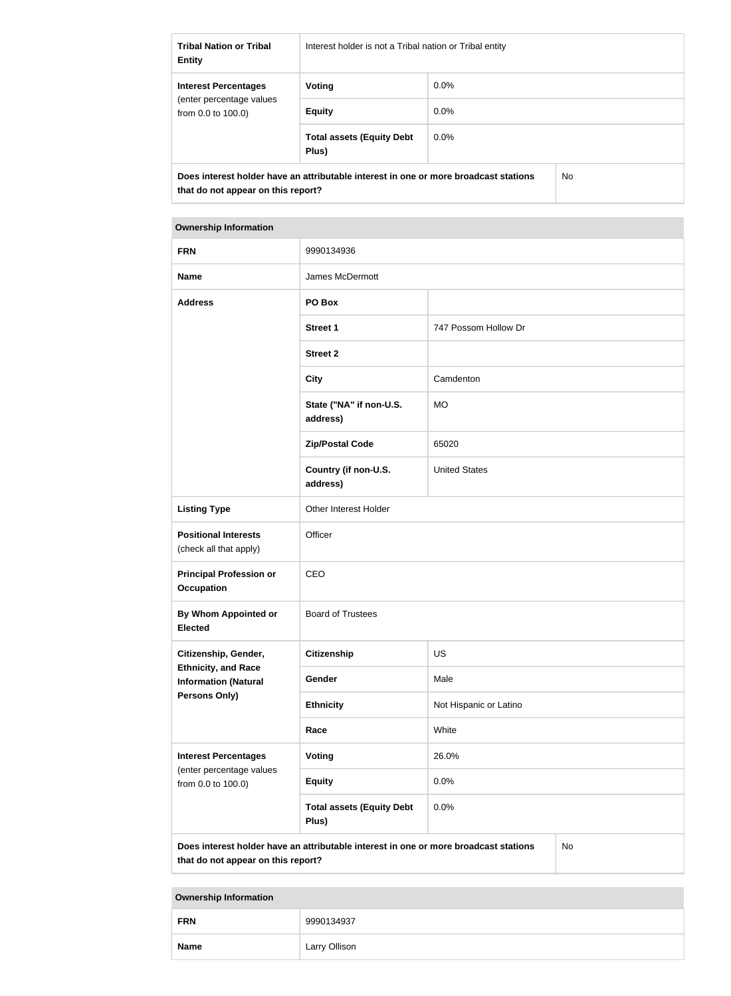| <b>Tribal Nation or Tribal</b><br><b>Entity</b>                                                                            | Interest holder is not a Tribal nation or Tribal entity |         |     |
|----------------------------------------------------------------------------------------------------------------------------|---------------------------------------------------------|---------|-----|
| <b>Interest Percentages</b><br>(enter percentage values)<br>from $0.0$ to $100.0$ )                                        | Voting                                                  | $0.0\%$ |     |
|                                                                                                                            | <b>Equity</b>                                           | 0.0%    |     |
|                                                                                                                            | <b>Total assets (Equity Debt</b><br>Plus)               | $0.0\%$ |     |
| Does interest holder have an attributable interest in one or more broadcast stations<br>that do not appear on this report? |                                                         |         | No. |

| <b>Ownership Information</b>                              |                                                                                      |                        |    |  |
|-----------------------------------------------------------|--------------------------------------------------------------------------------------|------------------------|----|--|
| <b>FRN</b>                                                | 9990134936                                                                           |                        |    |  |
| <b>Name</b>                                               | James McDermott                                                                      |                        |    |  |
| <b>Address</b>                                            | PO Box                                                                               |                        |    |  |
|                                                           | <b>Street 1</b>                                                                      | 747 Possom Hollow Dr   |    |  |
|                                                           | <b>Street 2</b>                                                                      |                        |    |  |
|                                                           | <b>City</b>                                                                          | Camdenton              |    |  |
|                                                           | State ("NA" if non-U.S.<br>address)                                                  | <b>MO</b>              |    |  |
|                                                           | <b>Zip/Postal Code</b>                                                               | 65020                  |    |  |
|                                                           | Country (if non-U.S.<br>address)                                                     | <b>United States</b>   |    |  |
| <b>Listing Type</b>                                       | Other Interest Holder                                                                |                        |    |  |
| <b>Positional Interests</b><br>(check all that apply)     | Officer                                                                              |                        |    |  |
| <b>Principal Profession or</b><br><b>Occupation</b>       | CEO                                                                                  |                        |    |  |
| By Whom Appointed or<br><b>Elected</b>                    | <b>Board of Trustees</b>                                                             |                        |    |  |
| Citizenship, Gender,                                      | Citizenship                                                                          | <b>US</b>              |    |  |
| <b>Ethnicity, and Race</b><br><b>Information (Natural</b> | Gender                                                                               | Male                   |    |  |
| <b>Persons Only)</b>                                      | <b>Ethnicity</b>                                                                     | Not Hispanic or Latino |    |  |
|                                                           | Race                                                                                 | White                  |    |  |
| <b>Interest Percentages</b><br>(enter percentage values   | <b>Voting</b>                                                                        | 26.0%                  |    |  |
| from 0.0 to 100.0)                                        | <b>Equity</b>                                                                        | 0.0%                   |    |  |
|                                                           | <b>Total assets (Equity Debt</b><br>Plus)                                            | 0.0%                   |    |  |
| that do not appear on this report?                        | Does interest holder have an attributable interest in one or more broadcast stations |                        | No |  |

# **Ownership Information FRN** 9990134937 **Name** Larry Ollison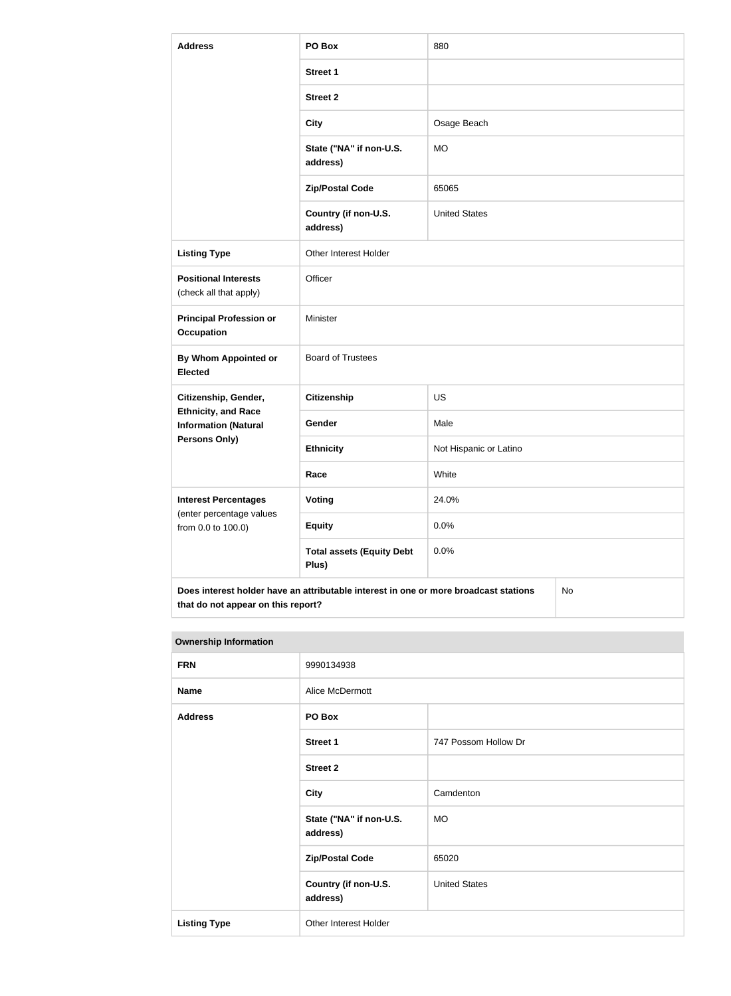| <b>Address</b>                                                                                                                   | PO Box                                    | 880                    |  |  |
|----------------------------------------------------------------------------------------------------------------------------------|-------------------------------------------|------------------------|--|--|
|                                                                                                                                  | <b>Street 1</b>                           |                        |  |  |
|                                                                                                                                  | <b>Street 2</b>                           |                        |  |  |
|                                                                                                                                  | <b>City</b>                               | Osage Beach            |  |  |
|                                                                                                                                  | State ("NA" if non-U.S.<br>address)       | <b>MO</b>              |  |  |
|                                                                                                                                  | <b>Zip/Postal Code</b>                    | 65065                  |  |  |
|                                                                                                                                  | Country (if non-U.S.<br>address)          | <b>United States</b>   |  |  |
| <b>Listing Type</b>                                                                                                              | Other Interest Holder                     |                        |  |  |
| <b>Positional Interests</b><br>(check all that apply)                                                                            | Officer                                   |                        |  |  |
| <b>Principal Profession or</b><br><b>Occupation</b>                                                                              | Minister                                  |                        |  |  |
| By Whom Appointed or<br><b>Elected</b>                                                                                           | <b>Board of Trustees</b>                  |                        |  |  |
| Citizenship, Gender,                                                                                                             | <b>Citizenship</b>                        | <b>US</b>              |  |  |
| <b>Ethnicity, and Race</b><br><b>Information (Natural</b>                                                                        | Gender                                    | Male                   |  |  |
| Persons Only)                                                                                                                    | <b>Ethnicity</b>                          | Not Hispanic or Latino |  |  |
|                                                                                                                                  | Race                                      | White                  |  |  |
| <b>Interest Percentages</b><br>(enter percentage values                                                                          | <b>Voting</b>                             | 24.0%                  |  |  |
| from 0.0 to 100.0)                                                                                                               | <b>Equity</b>                             | 0.0%                   |  |  |
|                                                                                                                                  | <b>Total assets (Equity Debt</b><br>Plus) | 0.0%                   |  |  |
| Does interest holder have an attributable interest in one or more broadcast stations<br>No<br>that do not appear on this report? |                                           |                        |  |  |

| <b>Ownership Information</b> |                                     |                      |  |  |  |
|------------------------------|-------------------------------------|----------------------|--|--|--|
| <b>FRN</b>                   | 9990134938                          |                      |  |  |  |
| <b>Name</b>                  | Alice McDermott                     |                      |  |  |  |
| <b>Address</b>               | PO Box                              |                      |  |  |  |
|                              | <b>Street 1</b>                     | 747 Possom Hollow Dr |  |  |  |
|                              | <b>Street 2</b>                     |                      |  |  |  |
|                              | <b>City</b>                         | Camdenton            |  |  |  |
|                              | State ("NA" if non-U.S.<br>address) | <b>MO</b>            |  |  |  |
|                              | <b>Zip/Postal Code</b>              | 65020                |  |  |  |
|                              | Country (if non-U.S.<br>address)    | <b>United States</b> |  |  |  |
| <b>Listing Type</b>          | Other Interest Holder               |                      |  |  |  |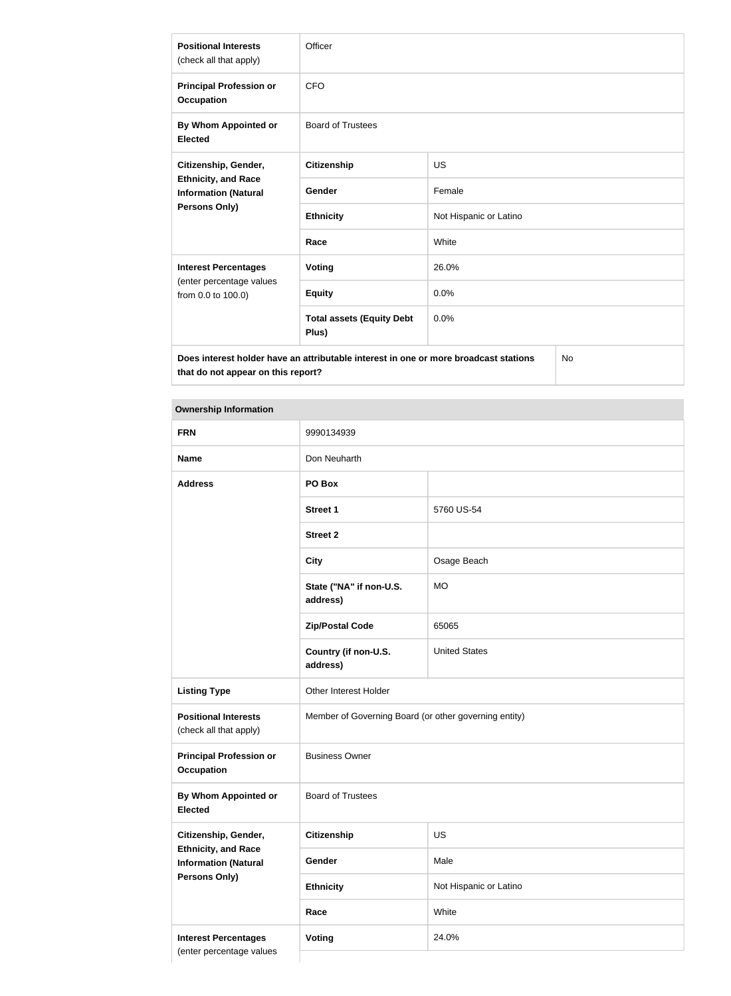| <b>Positional Interests</b><br>(check all that apply)                             | Officer                                                                              |                        |           |  |
|-----------------------------------------------------------------------------------|--------------------------------------------------------------------------------------|------------------------|-----------|--|
| <b>Principal Profession or</b><br><b>Occupation</b>                               | <b>CFO</b>                                                                           |                        |           |  |
| By Whom Appointed or<br><b>Elected</b>                                            | <b>Board of Trustees</b>                                                             |                        |           |  |
| Citizenship, Gender,<br><b>Ethnicity, and Race</b><br><b>Information (Natural</b> | <b>Citizenship</b>                                                                   | <b>US</b>              |           |  |
|                                                                                   | <b>Gender</b>                                                                        | Female                 |           |  |
| Persons Only)                                                                     | <b>Ethnicity</b>                                                                     | Not Hispanic or Latino |           |  |
|                                                                                   | Race                                                                                 | White                  |           |  |
| <b>Interest Percentages</b>                                                       | <b>Voting</b>                                                                        | 26.0%                  |           |  |
| (enter percentage values<br>from 0.0 to 100.0)                                    | <b>Equity</b>                                                                        | 0.0%                   |           |  |
|                                                                                   | <b>Total assets (Equity Debt</b><br>Plus)                                            | 0.0%                   |           |  |
|                                                                                   | Does interest holder have an attributable interest in one or more broadcast stations |                        | <b>No</b> |  |

**Does interest holder have an attributable interest in one or more broadcast stations that do not appear on this report?**

### **Ownership Information**

| <b>FRN</b>                                                | 9990134939                                            |                        |  |
|-----------------------------------------------------------|-------------------------------------------------------|------------------------|--|
| <b>Name</b>                                               | Don Neuharth                                          |                        |  |
| <b>Address</b>                                            | PO Box                                                |                        |  |
|                                                           | <b>Street 1</b>                                       | 5760 US-54             |  |
|                                                           | <b>Street 2</b>                                       |                        |  |
|                                                           | <b>City</b>                                           | Osage Beach            |  |
|                                                           | State ("NA" if non-U.S.<br>address)                   | <b>MO</b>              |  |
|                                                           | <b>Zip/Postal Code</b>                                | 65065                  |  |
|                                                           | Country (if non-U.S.<br>address)                      | <b>United States</b>   |  |
| <b>Listing Type</b>                                       | Other Interest Holder                                 |                        |  |
| <b>Positional Interests</b><br>(check all that apply)     | Member of Governing Board (or other governing entity) |                        |  |
| <b>Principal Profession or</b><br><b>Occupation</b>       | <b>Business Owner</b>                                 |                        |  |
| By Whom Appointed or<br><b>Elected</b>                    | <b>Board of Trustees</b>                              |                        |  |
| Citizenship, Gender,                                      | <b>Citizenship</b>                                    | US                     |  |
| <b>Ethnicity, and Race</b><br><b>Information (Natural</b> | Gender                                                | Male                   |  |
| <b>Persons Only)</b>                                      | <b>Ethnicity</b>                                      | Not Hispanic or Latino |  |
|                                                           | Race                                                  | White                  |  |
| <b>Interest Percentages</b>                               | Voting                                                | 24.0%                  |  |
| (enter percentage values                                  |                                                       |                        |  |